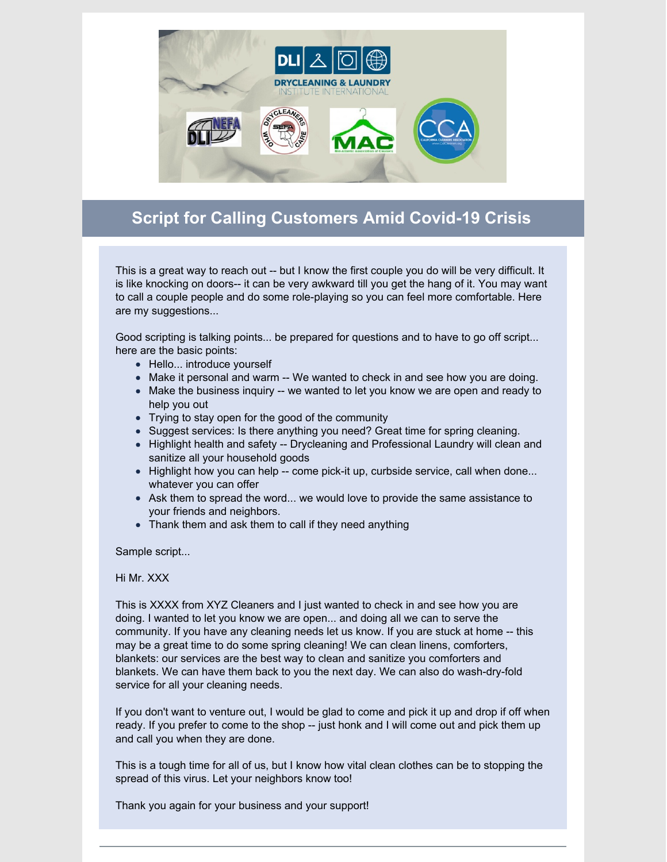

## **Script for Calling Customers Amid Covid-19 Crisis**

This is a great way to reach out -- but I know the first couple you do will be very difficult. It is like knocking on doors-- it can be very awkward till you get the hang of it. You may want to call a couple people and do some role-playing so you can feel more comfortable. Here are my suggestions...

Good scripting is talking points... be prepared for questions and to have to go off script... here are the basic points:

- Hello... introduce yourself
- Make it personal and warm -- We wanted to check in and see how you are doing.
- Make the business inquiry -- we wanted to let you know we are open and ready to help you out
- Trying to stay open for the good of the community
- Suggest services: Is there anything you need? Great time for spring cleaning.
- Highlight health and safety -- Drycleaning and Professional Laundry will clean and sanitize all your household goods
- Highlight how you can help -- come pick-it up, curbside service, call when done... whatever you can offer
- Ask them to spread the word... we would love to provide the same assistance to your friends and neighbors.
- Thank them and ask them to call if they need anything

Sample script...

## Hi Mr. XXX

This is XXXX from XYZ Cleaners and I just wanted to check in and see how you are doing. I wanted to let you know we are open... and doing all we can to serve the community. If you have any cleaning needs let us know. If you are stuck at home -- this may be a great time to do some spring cleaning! We can clean linens, comforters, blankets: our services are the best way to clean and sanitize you comforters and blankets. We can have them back to you the next day. We can also do wash-dry-fold service for all your cleaning needs.

If you don't want to venture out, I would be glad to come and pick it up and drop if off when ready. If you prefer to come to the shop -- just honk and I will come out and pick them up and call you when they are done.

This is a tough time for all of us, but I know how vital clean clothes can be to stopping the spread of this virus. Let your neighbors know too!

Thank you again for your business and your support!